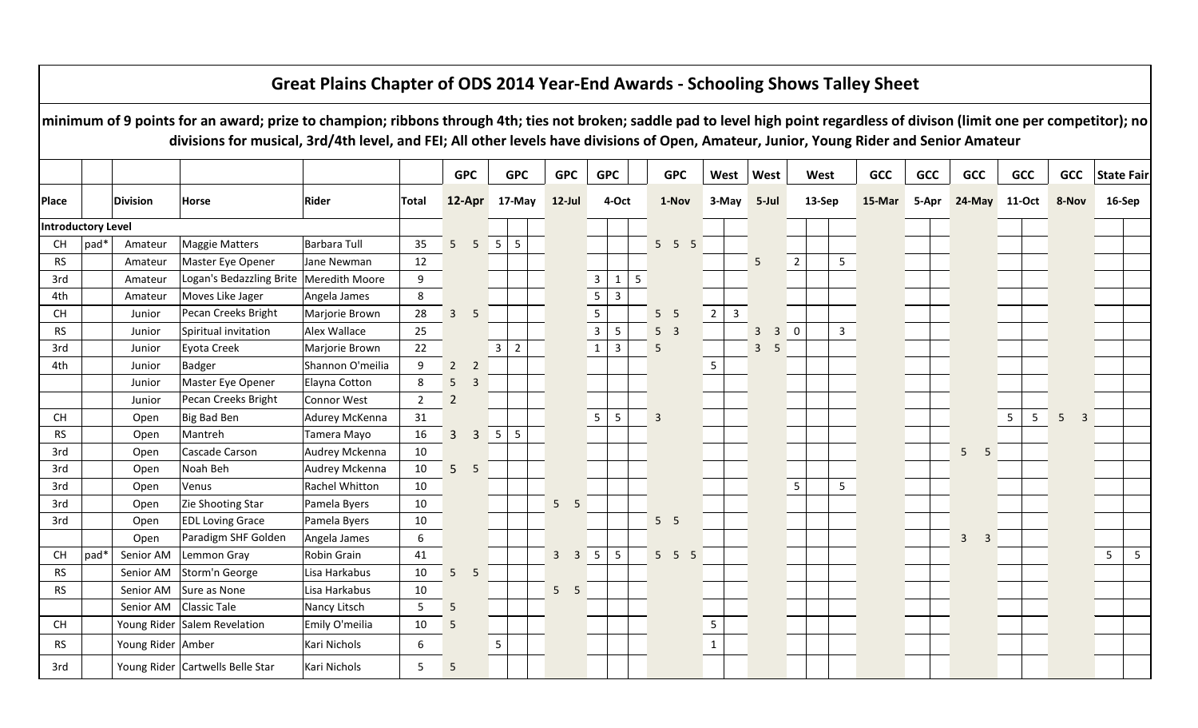|                           |      |                   | minimum of 9 points for an award; prize to champion; ribbons through 4th; ties not broken; saddle pad to level high point regardless of divison (limit one per competitor); no<br>divisions for musical, 3rd/4th level, and FEI; All other levels have divisions of Open, Amateur, Junior, Young Rider and Senior Amateur | Great Plains Chapter of ODS 2014 Year-End Awards - Schooling Shows Talley Sheet |                |                 |                |                 |                |                      |                |                   |                   |                  |                |                |                |                |            |            |                                |                     |                     |                |                |
|---------------------------|------|-------------------|---------------------------------------------------------------------------------------------------------------------------------------------------------------------------------------------------------------------------------------------------------------------------------------------------------------------------|---------------------------------------------------------------------------------|----------------|-----------------|----------------|-----------------|----------------|----------------------|----------------|-------------------|-------------------|------------------|----------------|----------------|----------------|----------------|------------|------------|--------------------------------|---------------------|---------------------|----------------|----------------|
|                           |      |                   |                                                                                                                                                                                                                                                                                                                           |                                                                                 |                |                 | <b>GPC</b>     |                 | <b>GPC</b>     | <b>GPC</b>           | <b>GPC</b>     |                   | <b>GPC</b>        | West             | West           |                | West           |                | <b>GCC</b> | <b>GCC</b> | <b>GCC</b>                     | <b>GCC</b>          | <b>GCC</b>          | State Fair     |                |
| <b>Place</b>              |      | <b>Division</b>   | Horse                                                                                                                                                                                                                                                                                                                     | Rider                                                                           | <b>Total</b>   |                 | 12-Apr 17-May  |                 |                | $12$ -Jul            |                | 4-Oct             | 1-Nov             | 3-May            |                | 5-Jul          |                | 13-Sep         | 15-Mar     | 5-Apr      | 24-May 11-Oct                  |                     | 8-Nov               | 16-Sep         |                |
| <b>Introductory Level</b> |      |                   |                                                                                                                                                                                                                                                                                                                           |                                                                                 |                |                 |                |                 |                |                      |                |                   |                   |                  |                |                |                |                |            |            |                                |                     |                     |                |                |
| СH                        | pad* | Amateur           | <b>Maggie Matters</b>                                                                                                                                                                                                                                                                                                     | Barbara Tull                                                                    | 35             | 5 <sup>5</sup>  | 5              | $5\phantom{.0}$ | 5              |                      |                |                   | $5\quad 5\quad 5$ |                  |                |                |                |                |            |            |                                |                     |                     |                |                |
| <b>RS</b>                 |      | Amateur           | Master Eye Opener                                                                                                                                                                                                                                                                                                         | Jane Newman                                                                     | 12             |                 |                |                 |                |                      |                |                   |                   |                  | 5              |                | $\overline{2}$ | 5 <sub>1</sub> |            |            |                                |                     |                     |                |                |
| 3rd                       |      | Amateur           | Logan's Bedazzling Brite   Meredith Moore                                                                                                                                                                                                                                                                                 |                                                                                 | 9              |                 |                |                 |                |                      | $\overline{3}$ | $\mathbf{1}$<br>5 |                   |                  |                |                |                |                |            |            |                                |                     |                     |                |                |
| 4th                       |      | Amateur           | Moves Like Jager                                                                                                                                                                                                                                                                                                          | Angela James                                                                    | 8              |                 |                |                 |                |                      |                | $\overline{3}$    |                   |                  |                |                |                |                |            |            |                                |                     |                     |                |                |
| CH                        |      | Junior            | Pecan Creeks Bright                                                                                                                                                                                                                                                                                                       | Marjorie Brown                                                                  | 28             | $\overline{3}$  | 5              |                 |                |                      | $\overline{5}$ |                   | 5 <sub>5</sub>    | $2^{\circ}$<br>3 |                |                |                |                |            |            |                                |                     |                     |                |                |
| <b>RS</b>                 |      | Junior            | Spiritual invitation                                                                                                                                                                                                                                                                                                      | Alex Wallace                                                                    | 25             |                 |                |                 |                |                      | $\overline{3}$ | $5\phantom{.0}$   | 5 <sup>3</sup>    |                  | $\overline{3}$ | 3 <sup>1</sup> | $\mathbf 0$    | $\mathbf{3}$   |            |            |                                |                     |                     |                |                |
| 3rd                       |      | Junior            | Eyota Creek                                                                                                                                                                                                                                                                                                               | Marjorie Brown                                                                  | 22             |                 |                | $\overline{3}$  | $\overline{2}$ |                      | $\mathbf{1}$   | $\mathbf{3}$      | 5                 |                  | $\overline{3}$ | 5              |                |                |            |            |                                |                     |                     |                |                |
| 4th                       |      | Junior            | <b>Badger</b>                                                                                                                                                                                                                                                                                                             | Shannon O'meilia                                                                | 9              | $2^{\circ}$     | $\overline{2}$ |                 |                |                      |                |                   |                   |                  |                |                |                |                |            |            |                                |                     |                     |                |                |
|                           |      | Junior            | Master Eye Opener                                                                                                                                                                                                                                                                                                         | Elayna Cotton                                                                   | 8              | $5\phantom{.0}$ | $\overline{3}$ |                 |                |                      |                |                   |                   |                  |                |                |                |                |            |            |                                |                     |                     |                |                |
|                           |      | Junior            | Pecan Creeks Bright                                                                                                                                                                                                                                                                                                       | Connor West                                                                     | $\overline{2}$ | $\overline{2}$  |                |                 |                |                      |                |                   |                   |                  |                |                |                |                |            |            |                                |                     |                     |                |                |
| <b>CH</b>                 |      | Open              | Big Bad Ben                                                                                                                                                                                                                                                                                                               | Adurey McKenna                                                                  | 31             |                 |                |                 |                |                      | 5              | 5                 | 3                 |                  |                |                |                |                |            |            |                                | 5 <sub>1</sub><br>5 | 5<br>$\overline{3}$ |                |                |
| <b>RS</b>                 |      | Open              | Mantreh                                                                                                                                                                                                                                                                                                                   | Tamera Mayo                                                                     | 16             | $\mathbf{3}$    | $\overline{3}$ | 5               | 5              |                      |                |                   |                   |                  |                |                |                |                |            |            |                                |                     |                     |                |                |
| 3rd                       |      | Open              | Cascade Carson                                                                                                                                                                                                                                                                                                            | Audrey Mckenna                                                                  | 10             |                 |                |                 |                |                      |                |                   |                   |                  |                |                |                |                |            |            | 5 <sup>1</sup><br>5            |                     |                     |                |                |
| 3rd                       |      | Open              | Noah Beh                                                                                                                                                                                                                                                                                                                  | Audrey Mckenna                                                                  | $10\,$         | 5 <sub>1</sub>  | 5              |                 |                |                      |                |                   |                   |                  |                |                |                |                |            |            |                                |                     |                     |                |                |
| 3rd                       |      | Open              | Venus                                                                                                                                                                                                                                                                                                                     | Rachel Whitton                                                                  | 10             |                 |                |                 |                |                      |                |                   |                   |                  |                |                | $5\phantom{a}$ | 5              |            |            |                                |                     |                     |                |                |
| 3rd                       |      | Open              | Zie Shooting Star                                                                                                                                                                                                                                                                                                         | Pamela Byers                                                                    | 10             |                 |                |                 |                | 5 <sub>1</sub><br>-5 |                |                   |                   |                  |                |                |                |                |            |            |                                |                     |                     |                |                |
| 3rd                       |      | Open              | <b>EDL Loving Grace</b>                                                                                                                                                                                                                                                                                                   | Pamela Byers                                                                    | 10             |                 |                |                 |                |                      |                |                   | 5 <sub>5</sub>    |                  |                |                |                |                |            |            |                                |                     |                     |                |                |
|                           |      | Open              | Paradigm SHF Golden                                                                                                                                                                                                                                                                                                       | Angela James                                                                    | 6              |                 |                |                 |                |                      |                |                   |                   |                  |                |                |                |                |            |            | $\mathbf{3}$<br>$\overline{3}$ |                     |                     |                |                |
| CH                        | pad* | Senior AM         | Lemmon Gray                                                                                                                                                                                                                                                                                                               | Robin Grain                                                                     | 41             |                 |                |                 |                | $3 \quad 3 \quad 5$  |                | $5\phantom{.0}$   | $5\quad 5\quad 5$ |                  |                |                |                |                |            |            |                                |                     |                     | 5 <sub>1</sub> | 5 <sup>5</sup> |
| <b>RS</b>                 |      | Senior AM         | Storm'n George                                                                                                                                                                                                                                                                                                            | Lisa Harkabus                                                                   | 10             | 5 <sub>1</sub>  | 5              |                 |                |                      |                |                   |                   |                  |                |                |                |                |            |            |                                |                     |                     |                |                |
| <b>RS</b>                 |      | Senior AM         | Sure as None                                                                                                                                                                                                                                                                                                              | Lisa Harkabus                                                                   | 10             |                 |                |                 |                | 5 <sub>5</sub>       |                |                   |                   |                  |                |                |                |                |            |            |                                |                     |                     |                |                |
|                           |      | Senior AM         | <b>Classic Tale</b>                                                                                                                                                                                                                                                                                                       | Nancy Litsch                                                                    | 5              | 5               |                |                 |                |                      |                |                   |                   |                  |                |                |                |                |            |            |                                |                     |                     |                |                |
| <b>CH</b>                 |      |                   | Young Rider Salem Revelation                                                                                                                                                                                                                                                                                              | Emily O'meilia                                                                  | 10             | $5\phantom{.0}$ |                |                 |                |                      |                |                   |                   | 5                |                |                |                |                |            |            |                                |                     |                     |                |                |
| <b>RS</b>                 |      | Young Rider Amber |                                                                                                                                                                                                                                                                                                                           | Kari Nichols                                                                    | 6              |                 |                | 5               |                |                      |                |                   |                   | $\mathbf{1}$     |                |                |                |                |            |            |                                |                     |                     |                |                |
| 3rd                       |      |                   | Young Rider Cartwells Belle Star                                                                                                                                                                                                                                                                                          | Kari Nichols                                                                    | 5              | 5               |                |                 |                |                      |                |                   |                   |                  |                |                |                |                |            |            |                                |                     |                     |                |                |

## **Great Plains Chapter of ODS 2014 Year-End Awards - Schooling Shows Talley Sheet**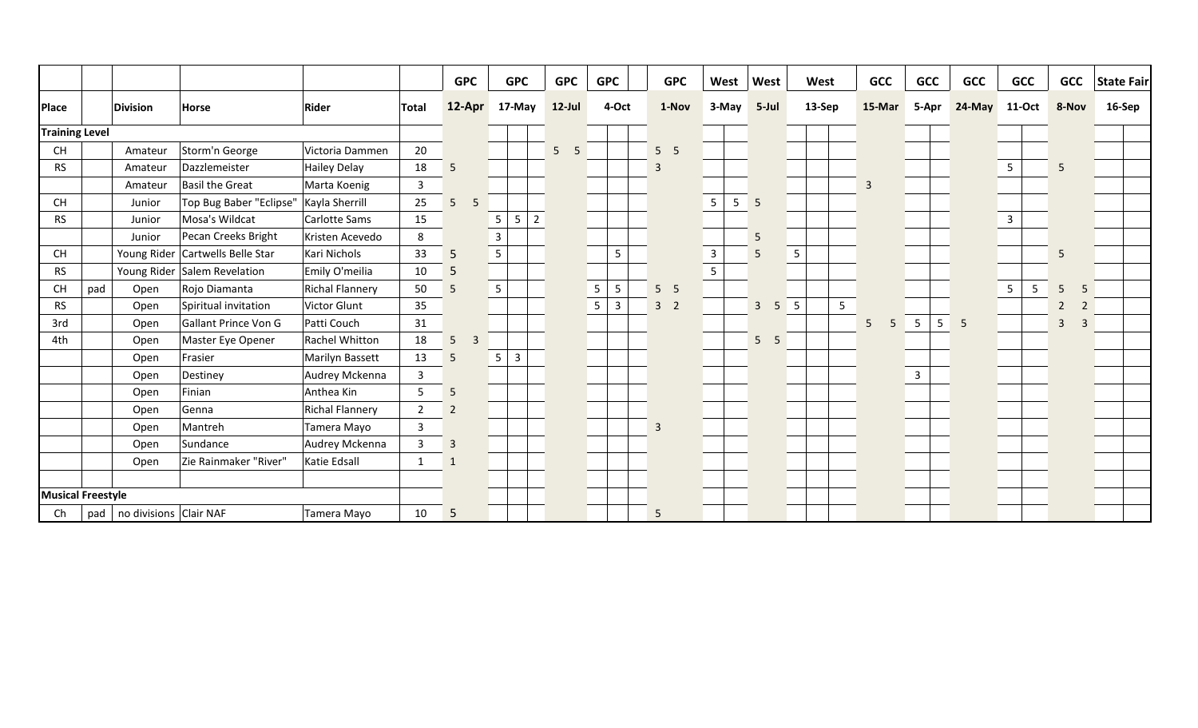|                       |                          |                              |                                  |                        |                | <b>GPC</b>          | <b>GPC</b>                             | <b>GPC</b>           |                | <b>GPC</b>   | <b>GPC</b>     |                 | West            | West           |    | West   |   | <b>GCC</b>     | <b>GCC</b>      |   | <b>GCC</b> | <b>GCC</b>     |   | <b>GCC</b>          | <b>State Fair</b> |  |
|-----------------------|--------------------------|------------------------------|----------------------------------|------------------------|----------------|---------------------|----------------------------------------|----------------------|----------------|--------------|----------------|-----------------|-----------------|----------------|----|--------|---|----------------|-----------------|---|------------|----------------|---|---------------------|-------------------|--|
| <b>Place</b>          |                          | <b>Division</b>              | <b>Horse</b>                     | Rider                  | Total          | 12-Apr              | 17-May                                 | $12$ -Jul            |                | 4-Oct        | 1-Nov          |                 | 3-May           | 5-Jul          |    | 13-Sep |   | 15-Mar         | 5-Apr           |   | 24-May     | 11-Oct         |   | 8-Nov               | 16-Sep            |  |
| <b>Training Level</b> |                          |                              |                                  |                        |                |                     |                                        |                      |                |              |                |                 |                 |                |    |        |   |                |                 |   |            |                |   |                     |                   |  |
| <b>CH</b>             |                          | Amateur                      | Storm'n George                   | Victoria Dammen        | 20             |                     |                                        | 5 <sup>7</sup><br>-5 |                |              | 5 <sub>5</sub> |                 |                 |                |    |        |   |                |                 |   |            |                |   |                     |                   |  |
| <b>RS</b>             |                          | Amateur                      | Dazzlemeister                    | Hailey Delay           | 18             | 5                   |                                        |                      |                |              | $\overline{3}$ |                 |                 |                |    |        |   |                |                 |   |            | $5\phantom{.}$ |   | 5                   |                   |  |
|                       |                          | Amateur                      | <b>Basil the Great</b>           | Marta Koenig           | $\mathbf{3}$   |                     |                                        |                      |                |              |                |                 |                 |                |    |        |   | $\overline{3}$ |                 |   |            |                |   |                     |                   |  |
| CH                    |                          | Junior                       | Top Bug Baber "Eclipse"          | Kayla Sherrill         | 25             | 5<br>5              |                                        |                      |                |              |                | $5\phantom{.0}$ | $5\phantom{.0}$ | 5              |    |        |   |                |                 |   |            |                |   |                     |                   |  |
| <b>RS</b>             |                          | Junior                       | Mosa's Wildcat                   | Carlotte Sams          | 15             |                     | $5\phantom{.0}$<br>5<br>$\overline{2}$ |                      |                |              |                |                 |                 |                |    |        |   |                |                 |   |            | $\mathbf{3}$   |   |                     |                   |  |
|                       |                          | Junior                       | Pecan Creeks Bright              | Kristen Acevedo        | 8              |                     | $\overline{3}$                         |                      |                |              |                |                 |                 | 5              |    |        |   |                |                 |   |            |                |   |                     |                   |  |
| <b>CH</b>             |                          |                              | Young Rider Cartwells Belle Star | Kari Nichols           | 33             | 5                   | $5\phantom{.}$                         |                      |                | 5            |                | $\mathbf{3}$    |                 | 5              |    | 5      |   |                |                 |   |            |                |   | 5                   |                   |  |
| <b>RS</b>             |                          |                              | Young Rider Salem Revelation     | Emily O'meilia         | 10             | 5                   |                                        |                      |                |              |                | $5\phantom{.}$  |                 |                |    |        |   |                |                 |   |            |                |   |                     |                   |  |
| CH                    | pad                      | Open                         | Rojo Diamanta                    | <b>Richal Flannery</b> | 50             | 5                   | $5\phantom{.}$                         |                      | $\sqrt{5}$     | 5            | 5 <sub>5</sub> |                 |                 |                |    |        |   |                |                 |   |            | $\overline{5}$ | 5 | 5                   |                   |  |
| <b>RS</b>             |                          | Open                         | Spiritual invitation             | Victor Glunt           | 35             |                     |                                        |                      | $\overline{5}$ | $\mathbf{3}$ | 3 <sup>2</sup> |                 |                 | $\overline{3}$ | 5  | 5      | 5 |                |                 |   |            |                |   | $\overline{2}$<br>2 |                   |  |
| 3rd                   |                          | Open                         | <b>Gallant Prince Von G</b>      | Patti Couch            | 31             |                     |                                        |                      |                |              |                |                 |                 |                |    |        |   | 5<br>5         | $5\overline{)}$ | 5 | -5         |                |   | $\overline{3}$<br>3 |                   |  |
| 4th                   |                          | Open                         | Master Eye Opener                | <b>Rachel Whitton</b>  | 18             | 5<br>$\overline{3}$ |                                        |                      |                |              |                |                 |                 | 5              | -5 |        |   |                |                 |   |            |                |   |                     |                   |  |
|                       |                          | Open                         | Frasier                          | Marilyn Bassett        | 13             | 5                   | $5\phantom{.}$<br>$\overline{3}$       |                      |                |              |                |                 |                 |                |    |        |   |                |                 |   |            |                |   |                     |                   |  |
|                       |                          | Open                         | Destiney                         | Audrey Mckenna         | $\overline{3}$ |                     |                                        |                      |                |              |                |                 |                 |                |    |        |   |                | $\overline{3}$  |   |            |                |   |                     |                   |  |
|                       |                          | Open                         | Finian                           | Anthea Kin             | 5              | 5                   |                                        |                      |                |              |                |                 |                 |                |    |        |   |                |                 |   |            |                |   |                     |                   |  |
|                       |                          | Open                         | Genna                            | <b>Richal Flannery</b> | $\overline{2}$ | $\overline{2}$      |                                        |                      |                |              |                |                 |                 |                |    |        |   |                |                 |   |            |                |   |                     |                   |  |
|                       |                          | Open                         | Mantreh                          | Tamera Mayo            | $\overline{3}$ |                     |                                        |                      |                |              | $\overline{3}$ |                 |                 |                |    |        |   |                |                 |   |            |                |   |                     |                   |  |
|                       |                          | Open                         | Sundance                         | Audrey Mckenna         | $\overline{3}$ | $\overline{3}$      |                                        |                      |                |              |                |                 |                 |                |    |        |   |                |                 |   |            |                |   |                     |                   |  |
|                       |                          | Open                         | Zie Rainmaker "River"            | Katie Edsall           | $\mathbf{1}$   | 1                   |                                        |                      |                |              |                |                 |                 |                |    |        |   |                |                 |   |            |                |   |                     |                   |  |
|                       |                          |                              |                                  |                        |                |                     |                                        |                      |                |              |                |                 |                 |                |    |        |   |                |                 |   |            |                |   |                     |                   |  |
|                       | <b>Musical Freestyle</b> |                              |                                  |                        |                |                     |                                        |                      |                |              |                |                 |                 |                |    |        |   |                |                 |   |            |                |   |                     |                   |  |
| Ch                    |                          | pad   no divisions Clair NAF |                                  | Tamera Mayo            | 10             | 5                   |                                        |                      |                |              | 5              |                 |                 |                |    |        |   |                |                 |   |            |                |   |                     |                   |  |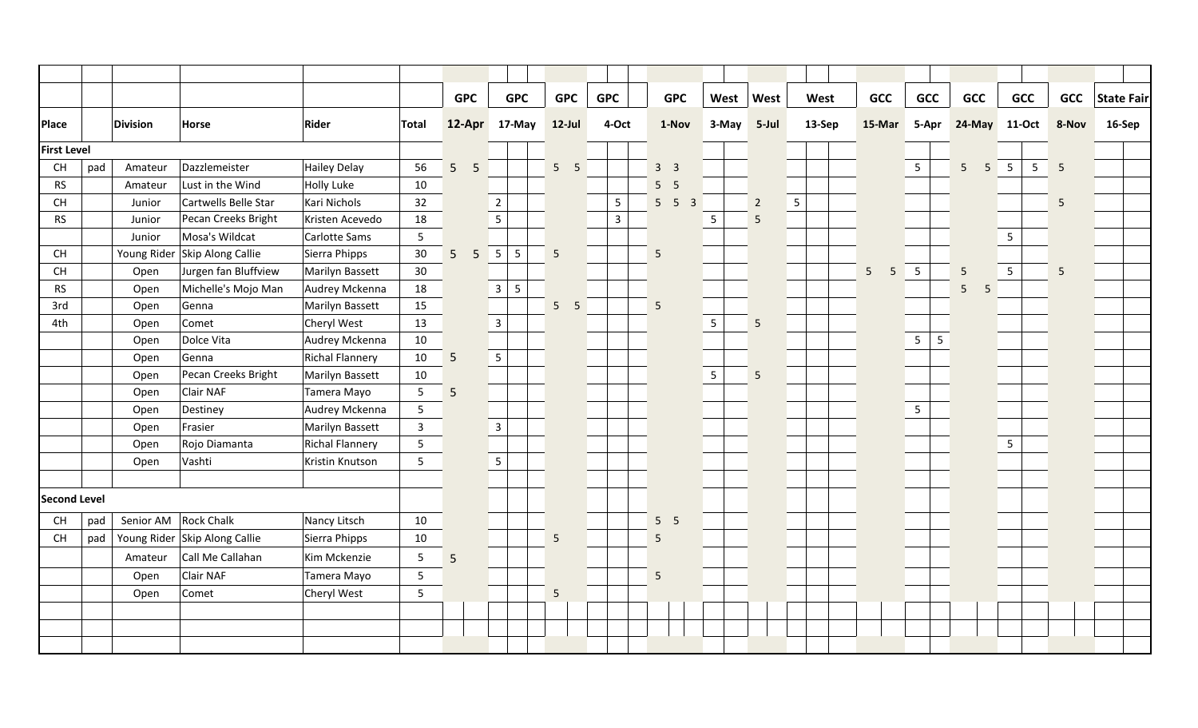|                                          |     |             |                               |                        |                 | <b>GPC</b>          | <b>GPC</b>           | <b>GPC</b>            | <b>GPC</b> |                | <b>GPC</b>      | West            | West           |   | West   | <b>GCC</b>          | <b>GCC</b>      | <b>GCC</b>      |                 | <b>GCC</b>      | <b>GCC</b>          | <b>State Fair</b> |
|------------------------------------------|-----|-------------|-------------------------------|------------------------|-----------------|---------------------|----------------------|-----------------------|------------|----------------|-----------------|-----------------|----------------|---|--------|---------------------|-----------------|-----------------|-----------------|-----------------|---------------------|-------------------|
| <b>Place</b>                             |     | Division    | Horse                         | Rider                  | Total           |                     | 12-Apr 17-May        | $12$ -Jul             |            | 4-Oct          | 1-Nov           | 3-May           | 5-Jul          |   | 13-Sep | 15-Mar              | 5-Apr           | 24-May          |                 | 11-Oct          | 8-Nov               | 16-Sep            |
| <b>First Level</b>                       |     |             |                               |                        |                 |                     |                      |                       |            |                |                 |                 |                |   |        |                     |                 |                 |                 |                 |                     |                   |
| <b>CH</b>                                | pad | Amateur     | Dazzlemeister                 | Hailey Delay           | 56              | 5 <sup>1</sup><br>5 |                      | 5 <sub>5</sub>        |            |                | 3 <sup>3</sup>  |                 |                |   |        |                     | $5\phantom{.0}$ | 5 <sup>5</sup>  | $5\overline{5}$ | $5\phantom{.0}$ | 5 <sup>5</sup><br>5 |                   |
| <b>RS</b>                                |     | Amateur     | Lust in the Wind              | <b>Holly Luke</b>      | 10              |                     |                      |                       |            |                | 5 <sub>5</sub>  |                 |                |   |        |                     |                 |                 |                 |                 |                     |                   |
| CH                                       |     | Junior      | Cartwells Belle Star          | Kari Nichols           | 32              |                     | $\overline{2}$       |                       |            | 5              | $5\quad 5$<br>3 |                 | $\overline{2}$ | 5 |        |                     |                 |                 |                 |                 | 5                   |                   |
| <b>RS</b>                                |     | Junior      | Pecan Creeks Bright           | Kristen Acevedo        | 18              |                     | $5\overline{)}$      |                       |            | $\overline{3}$ |                 | $5\phantom{.0}$ | $\overline{5}$ |   |        |                     |                 |                 |                 |                 |                     |                   |
|                                          |     | Junior      | Mosa's Wildcat                | Carlotte Sams          | 5               |                     |                      |                       |            |                |                 |                 |                |   |        |                     |                 |                 |                 | $5\phantom{.0}$ |                     |                   |
| $\mathsf{CH}% \left( \mathcal{M}\right)$ |     | Young Rider | Skip Along Callie             | Sierra Phipps          | 30              | 5 <sup>5</sup><br>5 | $5\phantom{.0}$<br>5 | 5                     |            |                | 5               |                 |                |   |        |                     |                 |                 |                 |                 |                     |                   |
| $\mathsf{CH}% \left( \mathcal{M}\right)$ |     | Open        | Jurgen fan Bluffview          | Marilyn Bassett        | 30 <sup>°</sup> |                     |                      |                       |            |                |                 |                 |                |   |        | 5 <sup>1</sup><br>5 | $\overline{5}$  | $5\overline{)}$ |                 | 5 <sup>5</sup>  | 5                   |                   |
| <b>RS</b>                                |     | Open        | Michelle's Mojo Man           | Audrey Mckenna         | 18              |                     | $\overline{3}$<br>5  |                       |            |                |                 |                 |                |   |        |                     |                 | $5\phantom{.}$  | 5               |                 |                     |                   |
| 3rd                                      |     | Open        | Genna                         | Marilyn Bassett        | 15              |                     |                      | 5 <sup>7</sup><br>- 5 |            |                | 5               |                 |                |   |        |                     |                 |                 |                 |                 |                     |                   |
| 4th                                      |     | Open        | Comet                         | Cheryl West            | 13              |                     | $\overline{3}$       |                       |            |                |                 | $5\overline{)}$ | 5              |   |        |                     |                 |                 |                 |                 |                     |                   |
|                                          |     | Open        | Dolce Vita                    | Audrey Mckenna         | 10              |                     |                      |                       |            |                |                 |                 |                |   |        |                     | $5\phantom{.0}$ | 5               |                 |                 |                     |                   |
|                                          |     | Open        | Genna                         | <b>Richal Flannery</b> | 10              | $5\overline{)}$     | $5\phantom{.0}$      |                       |            |                |                 |                 |                |   |        |                     |                 |                 |                 |                 |                     |                   |
|                                          |     | Open        | Pecan Creeks Bright           | Marilyn Bassett        | 10              |                     |                      |                       |            |                |                 | $5\overline{)}$ | $\overline{5}$ |   |        |                     |                 |                 |                 |                 |                     |                   |
|                                          |     | Open        | Clair NAF                     | Tamera Mayo            | $\overline{5}$  | 5                   |                      |                       |            |                |                 |                 |                |   |        |                     |                 |                 |                 |                 |                     |                   |
|                                          |     | Open        | Destiney                      | Audrey Mckenna         | $5\phantom{.0}$ |                     |                      |                       |            |                |                 |                 |                |   |        |                     | $5\phantom{.0}$ |                 |                 |                 |                     |                   |
|                                          |     | Open        | Frasier                       | Marilyn Bassett        | $\overline{3}$  |                     | $\overline{3}$       |                       |            |                |                 |                 |                |   |        |                     |                 |                 |                 |                 |                     |                   |
|                                          |     | Open        | Rojo Diamanta                 | <b>Richal Flannery</b> | 5               |                     |                      |                       |            |                |                 |                 |                |   |        |                     |                 |                 |                 | 5               |                     |                   |
|                                          |     | Open        | Vashti                        | Kristin Knutson        | 5               |                     | $5\phantom{.}$       |                       |            |                |                 |                 |                |   |        |                     |                 |                 |                 |                 |                     |                   |
|                                          |     |             |                               |                        |                 |                     |                      |                       |            |                |                 |                 |                |   |        |                     |                 |                 |                 |                 |                     |                   |
| <b>Second Level</b>                      |     |             |                               |                        |                 |                     |                      |                       |            |                |                 |                 |                |   |        |                     |                 |                 |                 |                 |                     |                   |
| <b>CH</b>                                | pad | Senior AM   | <b>Rock Chalk</b>             | Nancy Litsch           | 10              |                     |                      |                       |            |                | 5 <sub>5</sub>  |                 |                |   |        |                     |                 |                 |                 |                 |                     |                   |
| CH                                       | pad |             | Young Rider Skip Along Callie | Sierra Phipps          | 10              |                     |                      | 5                     |            |                | 5               |                 |                |   |        |                     |                 |                 |                 |                 |                     |                   |
|                                          |     | Amateur     | Call Me Callahan              | Kim Mckenzie           | 5               | 5                   |                      |                       |            |                |                 |                 |                |   |        |                     |                 |                 |                 |                 |                     |                   |
|                                          |     | Open        | Clair NAF                     | Tamera Mayo            | 5               |                     |                      |                       |            |                | 5               |                 |                |   |        |                     |                 |                 |                 |                 |                     |                   |
|                                          |     | Open        | Comet                         | Cheryl West            | 5               |                     |                      | 5                     |            |                |                 |                 |                |   |        |                     |                 |                 |                 |                 |                     |                   |
|                                          |     |             |                               |                        |                 |                     |                      |                       |            |                |                 |                 |                |   |        |                     |                 |                 |                 |                 |                     |                   |
|                                          |     |             |                               |                        |                 |                     |                      |                       |            |                |                 |                 |                |   |        |                     |                 |                 |                 |                 |                     |                   |
|                                          |     |             |                               |                        |                 |                     |                      |                       |            |                |                 |                 |                |   |        |                     |                 |                 |                 |                 |                     |                   |